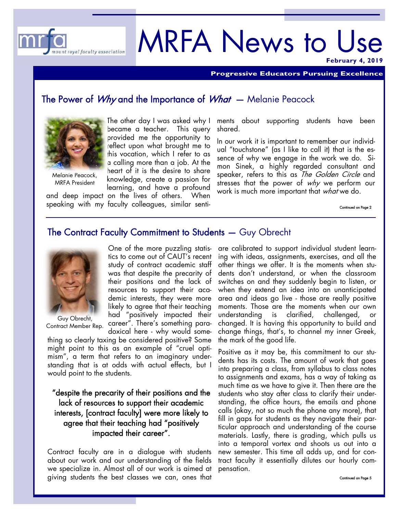

# MRFA News to Use

**February 4, 2019** 

**Progressive Educators Pursuing Excellence** 

### The Power of *Why* and the Importance of *What* – Melanie Peacock



Melanie Peacock, MRFA President

The other day I was asked why I became a teacher. This query provided me the opportunity to reflect upon what brought me to this vocation, which I refer to as a calling more than a job. At the heart of it is the desire to share knowledge, create a passion for learning, and have a profound

and deep impact on the lives of others. When speaking with my faculty colleagues, similar senti- continued on Page 2

ments about supporting students have been shared.

In our work it is important to remember our individual "touchstone" (as I like to call it) that is the essence of why we engage in the work we do. Simon Sinek, a highly regarded consultant and speaker, refers to this as *The Golden Circle* and stresses that the power of why we perform our work is much more important that what we do.

## The Contract Faculty Commitment to Students — Guy Obrecht



Guy Obrecht, Contract Member Rep.

One of the more puzzling statistics to come out of CAUT's recent study of contract academic staff was that despite the precarity of their positions and the lack of resources to support their academic interests, they were more likely to agree that their teaching had "positively impacted their career". There's something paradoxical here - why would some-

thing so clearly taxing be considered positive? Some might point to this as an example of "cruel optimism", a term that refers to an imaginary understanding that is at odds with actual effects, but I would point to the students.

"despite the precarity of their positions and the lack of resources to support their academic interests, [contract faculty] were more likely to agree that their teaching had "positively impacted their career".

Contract faculty are in a dialogue with students about our work and our understanding of the fields we specialize in. Almost all of our work is aimed at giving students the best classes we can, ones that

are calibrated to support individual student learning with ideas, assignments, exercises, and all the other things we offer. It is the moments when students don't understand, or when the classroom switches on and they suddenly begin to listen, or when they extend an idea into an unanticipated area and ideas go live - those are really positive moments. Those are the moments when our own understanding is clarified, challenged, or changed. It is having this opportunity to build and change things, that's, to channel my inner Greek, the mark of the good life.

Positive as it may be, this commitment to our students has its costs. The amount of work that goes into preparing a class, from syllabus to class notes to assignments and exams, has a way of taking as much time as we have to give it. Then there are the students who stay after class to clarify their understanding, the office hours, the emails and phone calls (okay, not so much the phone any more), that fill in gaps for students as they navigate their particular approach and understanding of the course materials. Lastly, there is grading, which pulls us into a temporal vortex and shoots us out into a new semester. This time all adds up, and for contract faculty it essentially dilutes our hourly compensation.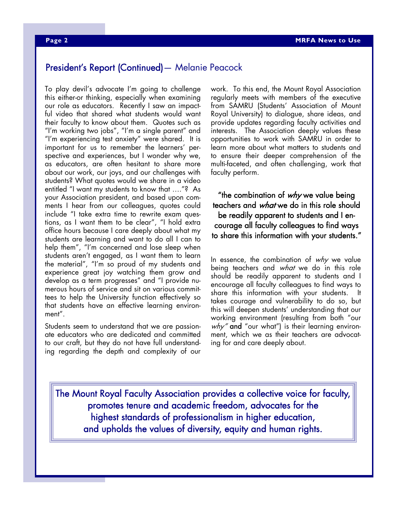## President's Report (Continued)— Melanie Peacock

To play devil's advocate I'm going to challenge this either-or thinking, especially when examining our role as educators. Recently I saw an impactful video that shared what students would want their faculty to know about them. Quotes such as "I'm working two jobs", "I'm a single parent" and "I'm experiencing test anxiety" were shared. It is important for us to remember the learners' perspective and experiences, but I wonder why we, as educators, are often hesitant to share more about our work, our joys, and our challenges with students? What quotes would we share in a video entitled "I want my students to know that …."? As your Association president, and based upon comments I hear from our colleagues, quotes could include "I take extra time to rewrite exam questions, as I want them to be clear", "I hold extra office hours because I care deeply about what my students are learning and want to do all I can to help them", "I'm concerned and lose sleep when students aren't engaged, as I want them to learn the material", "I'm so proud of my students and experience great joy watching them grow and develop as a term progresses" and "I provide numerous hours of service and sit on various committees to help the University function effectively so that students have an effective learning environment".

Students seem to understand that we are passionate educators who are dedicated and committed to our craft, but they do not have full understanding regarding the depth and complexity of our

work. To this end, the Mount Royal Association regularly meets with members of the executive from SAMRU (Students' Association of Mount Royal University) to dialogue, share ideas, and provide updates regarding faculty activities and interests. The Association deeply values these opportunities to work with SAMRU in order to learn more about what matters to students and to ensure their deeper comprehension of the multi-faceted, and often challenging, work that faculty perform.

"the combination of  $why$  we value being teachers and what we do in this role should be readily apparent to students and I encourage all faculty colleagues to find ways to share this information with your students."

In essence, the combination of  $why$  we value being teachers and what we do in this role should be readily apparent to students and I encourage all faculty colleagues to find ways to share this information with your students. It takes courage and vulnerability to do so, but this will deepen students' understanding that our working environment (resulting from both "our  $why''$  and "our what") is their learning environment, which we as their teachers are advocating for and care deeply about.

The Mount Royal Faculty Association provides a collective voice for faculty, promotes tenure and academic freedom, advocates for the highest standards of professionalism in higher education, and upholds the values of diversity, equity and human rights.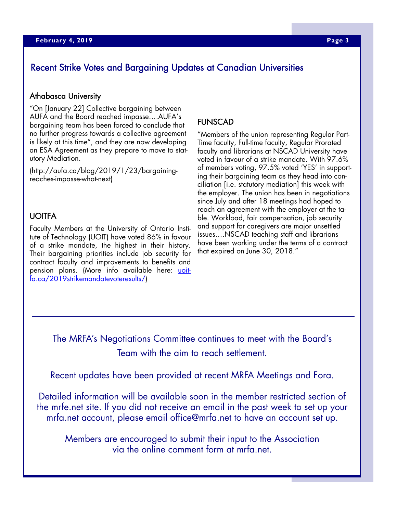# Recent Strike Votes and Bargaining Updates at Canadian Universities

#### Athabasca University

"On [January 22] Collective bargaining between AUFA and the Board reached impasse….AUFA's bargaining team has been forced to conclude that no further progress towards a collective agreement is likely at this time", and they are now developing an ESA Agreement as they prepare to move to statutory Mediation.

(http://aufa.ca/blog/2019/1/23/bargainingreaches-impasse-what-next)

#### UOITFA

Faculty Members at the University of Ontario Institute of Technology (UOIT) have voted 86% in favour of a strike mandate, the highest in their history. Their bargaining priorities include job security for contract faculty and improvements to benefits and pension plans. (More info available here: uoitfa.ca/2019strikemandatevoteresults/)

#### FUNSCAD

"Members of the union representing Regular Part-Time faculty, Full-time faculty, Regular Prorated faculty and librarians at NSCAD University have voted in favour of a strike mandate. With 97.6% of members voting, 97.5% voted 'YES' in supporting their bargaining team as they head into conciliation [i.e. statutory mediation] this week with the employer. The union has been in negotiations since July and after 18 meetings had hoped to reach an agreement with the employer at the table. Workload, fair compensation, job security and support for caregivers are major unsettled issues….NSCAD teaching staff and librarians have been working under the terms of a contract that expired on June 30, 2018."

The MRFA's Negotiations Committee continues to meet with the Board's Team with the aim to reach settlement.

Recent updates have been provided at recent MRFA Meetings and Fora.

Detailed information will be available soon in the member restricted section of the mrfe.net site. If you did not receive an email in the past week to set up your mrfa.net account, please email office@mrfa.net to have an account set up.

Members are encouraged to submit their input to the Association via the online comment form at mrfa.net.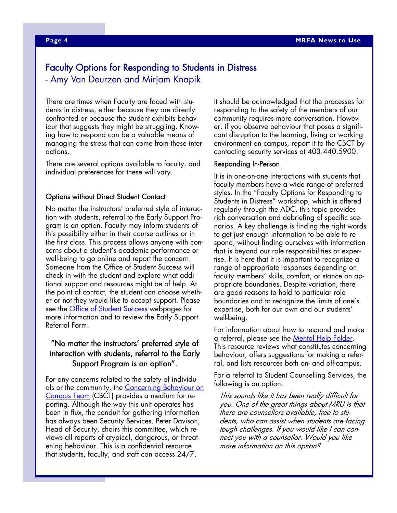# Faculty Options for Responding to Students in Distress - Amy Van Deurzen and Mirjam Knapik

There are times when Faculty are faced with students in distress, either because they are directly confronted or because the student exhibits behaviour that suggests they might be struggling. Knowing how to respond can be a valuable means of managing the stress that can come from these interactions.

There are several options available to faculty, and individual preferences for these will vary.

#### **Options without Direct Student Contact**

No matter the instructors' preferred style of interaction with students, referral to the Early Support Program is an option. Faculty may inform students of this possibility either in their course outlines or in the first class. This process allows anyone with concerns about a student's academic performance or well-being to go online and report the concern. Someone from the Office of Student Success will check in with the student and explore what additional support and resources might be of help. At the point of contact, the student can choose whether or not they would like to accept support. Please see the <u>Office of Student Success</u> webpages for more information and to review the Early Support Referral Form.

#### "No matter the instructors' preferred style of interaction with students, referral to the Early Support Program is an option".

For any concerns related to the safety of individuals or the community, the Concerning Behaviour on Campus Team (CBCT) provides a medium for reporting. Although the way this unit operates has been in flux, the conduit for gathering information has always been Security Services. Peter Davison, Head of Security, chairs this committee, which reviews all reports of atypical, dangerous, or threatening behaviour. This is a confidential resource that students, faculty, and staff can access 24/7.

It should be acknowledged that the processes for responding to the safety of the members of our community requires more conversation. However, if you observe behaviour that poses a significant disruption to the learning, living or working environment on campus, report it to the CBCT by contacting security services at 403.440.5900.

#### Responding In-Person

It is in one-on-one interactions with students that faculty members have a wide range of preferred styles. In the "Faculty Options for Responding to Students in Distress" workshop, which is offered regularly through the ADC, this topic provides rich conversation and debriefing of specific scenarios. A key challenge is finding the right words to get just enough information to be able to respond, without finding ourselves with information that is beyond our role responsibilities or expertise. It is here that it is important to recognize a range of appropriate responses depending on faculty members' skills, comfort, or stance on appropriate boundaries. Despite variation, there are good reasons to hold to particular role boundaries and to recognize the limits of one's expertise, both for our own and our students' well-being.

For information about how to respond and make a referral, please see the Mental Help Folder. This resource reviews what constitutes concerning behaviour, offers suggestions for making a referral, and lists resources both on- and off-campus.

For a referral to Student Counselling Services, the following is an option.

This sounds like it has been really difficult for you. One of the great things about MRU is that there are counsellors available, free to students, who can assist when students are facing tough challenges. If you would like I can connect you with a counsellor. Would you like more information on this option?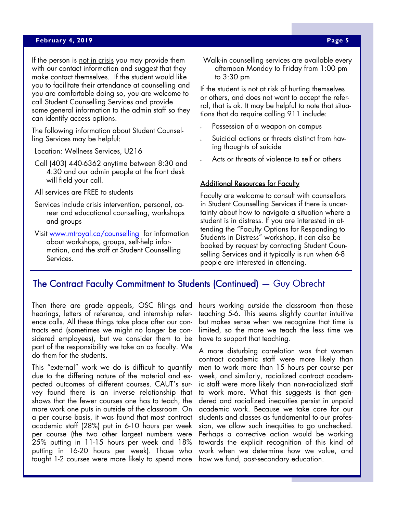#### **April 23, 2019 Page 5 Page 5 Page 5 Page 5**

If the person is not in crisis you may provide them with our contact information and suggest that they make contact themselves. If the student would like you to facilitate their attendance at counselling and you are comfortable doing so, you are welcome to call Student Counselling Services and provide some general information to the admin staff so they can identify access options.

The following information about Student Counselling Services may be helpful:

Location: Wellness Services, U216

Call (403) 440-6362 anytime between 8:30 and 4:30 and our admin people at the front desk will field your call.

All services are FREE to students

Services include crisis intervention, personal, career and educational counselling, workshops and groups

Visit www.mtroyal.ca/counselling for information about workshops, groups, self-help information, and the staff at Student Counselling Services.

Walk-in counselling services are available every afternoon Monday to Friday from 1:00 pm to 3:30 pm

If the student is not at risk of hurting themselves or others, and does not want to accept the referral, that is ok. It may be helpful to note that situations that do require calling 911 include:

- Possession of a weapon on campus
- Suicidal actions or threats distinct from having thoughts of suicide
- Acts or threats of violence to self or others

#### **Additional Resources for Faculty**

Faculty are welcome to consult with counsellors in Student Counselling Services if there is uncertainty about how to navigate a situation where a student is in distress. If you are interested in attending the "Faculty Options for Responding to Students in Distress" workshop, it can also be booked by request by contacting Student Counselling Services and it typically is run when 6-8 people are interested in attending.

## The Contract Faculty Commitment to Students (Continued) — Guy Obrecht

Then there are grade appeals, OSC filings and hearings, letters of reference, and internship reference calls. All these things take place after our contracts end (sometimes we might no longer be considered employees), but we consider them to be part of the responsibility we take on as faculty. We do them for the students.

taught 1-2 courses were more likely to spend more how we fund, post-secondary education. This "external" work we do is difficult to quantify due to the differing nature of the material and expected outcomes of different courses. CAUT's survey found there is an inverse relationship that shows that the fewer courses one has to teach, the more work one puts in outside of the classroom. On a per course basis, it was found that most contract academic staff (28%) put in 6-10 hours per week per course (the two other largest numbers were 25% putting in 11-15 hours per week and 18% putting in 16-20 hours per week). Those who

hours working outside the classroom than those teaching 5-6. This seems slightly counter intuitive but makes sense when we recognize that time is limited, so the more we teach the less time we have to support that teaching.

A more disturbing correlation was that women contract academic staff were more likely than men to work more than 15 hours per course per week, and similarly, racialized contract academic staff were more likely than non-racialized staff to work more. What this suggests is that gendered and racialized inequities persist in unpaid academic work. Because we take care for our students and classes as fundamental to our profession, we allow such inequities to go unchecked. Perhaps a corrective action would be working towards the explicit recognition of this kind of work when we determine how we value, and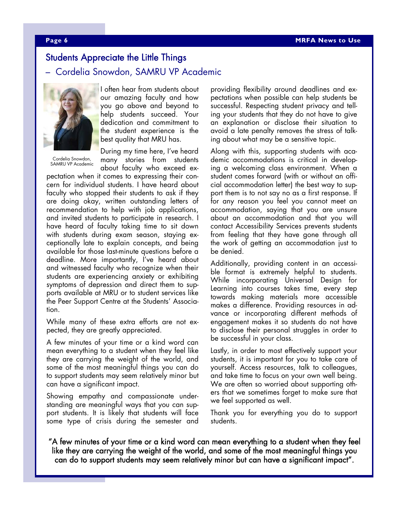### Students Appreciate the Little Things

#### – Cordelia Snowdon, SAMRU VP Academic



Cordelia Snowdon, SAMRU VP Academic

I often hear from students about our amazing faculty and how you go above and beyond to help students succeed. Your dedication and commitment to the student experience is the best quality that MRU has.

During my time here, I've heard many stories from students about faculty who exceed ex-

pectation when it comes to expressing their concern for individual students. I have heard about faculty who stopped their students to ask if they are doing okay, written outstanding letters of recommendation to help with job applications, and invited students to participate in research. I have heard of faculty taking time to sit down with students during exam season, staying exceptionally late to explain concepts, and being available for those last-minute questions before a deadline. More importantly, I've heard about and witnessed faculty who recognize when their students are experiencing anxiety or exhibiting symptoms of depression and direct them to supports available at MRU or to student services like the Peer Support Centre at the Students' Association.

While many of these extra efforts are not expected, they are greatly appreciated.

A few minutes of your time or a kind word can mean everything to a student when they feel like they are carrying the weight of the world, and some of the most meaningful things you can do to support students may seem relatively minor but can have a significant impact.

Showing empathy and compassionate understanding are meaningful ways that you can support students. It is likely that students will face some type of crisis during the semester and

providing flexibility around deadlines and expectations when possible can help students be successful. Respecting student privacy and telling your students that they do not have to give an explanation or disclose their situation to avoid a late penalty removes the stress of talking about what may be a sensitive topic.

Along with this, supporting students with academic accommodations is critical in developing a welcoming class environment. When a student comes forward (with or without an official accommodation letter) the best way to support them is to not say no as a first response. If for any reason you feel you cannot meet an accommodation, saying that you are unsure about an accommodation and that you will contact Accessibility Services prevents students from feeling that they have gone through all the work of getting an accommodation just to be denied.

Additionally, providing content in an accessible format is extremely helpful to students. While incorporating Universal Design for Learning into courses takes time, every step towards making materials more accessible makes a difference. Providing resources in advance or incorporating different methods of engagement makes it so students do not have to disclose their personal struggles in order to be successful in your class.

Lastly, in order to most effectively support your students, it is important for you to take care of yourself. Access resources, talk to colleagues, and take time to focus on your own well being. We are often so worried about supporting others that we sometimes forget to make sure that we feel supported as well.

Thank you for everything you do to support students.

"A few minutes of your time or a kind word can mean everything to a student when they feel like they are carrying the weight of the world, and some of the most meaningful things you can do to support students may seem relatively minor but can have a significant impact".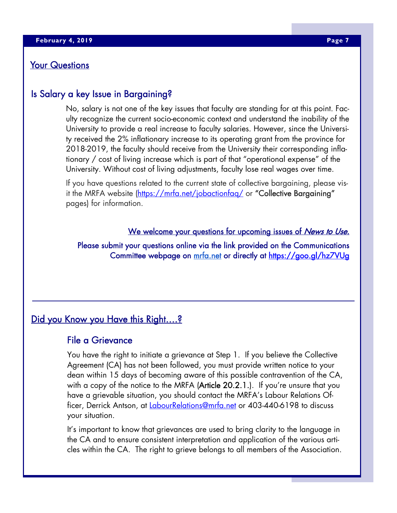#### Your Questions

# Is Salary a key Issue in Bargaining?

No, salary is not one of the key issues that faculty are standing for at this point. Faculty recognize the current socio-economic context and understand the inability of the University to provide a real increase to faculty salaries. However, since the University received the 2% inflationary increase to its operating grant from the province for 2018-2019, the faculty should receive from the University their corresponding inflationary / cost of living increase which is part of that "operational expense" of the University. Without cost of living adjustments, faculty lose real wages over time.

If you have questions related to the current state of collective bargaining, please visit the MRFA website (https://mrfa.net/jobactionfaq/ or "Collective Bargaining" pages) for information.

#### We welcome your questions for upcoming issues of News to Use.

Please submit your questions online via the link provided on the Communications Committee webpage on mrfa.net or directly at https://goo.gl/hz7VUg

# Did you Know you Have this Right....?

### File a Grievance

You have the right to initiate a grievance at Step 1. If you believe the Collective Agreement (CA) has not been followed, you must provide written notice to your dean within 15 days of becoming aware of this possible contravention of the CA, with a copy of the notice to the MRFA (Article 20.2.1.). If you're unsure that you have a grievable situation, you should contact the MRFA's Labour Relations Officer, Derrick Antson, at LabourRelations@mrfa.net or 403-440-6198 to discuss your situation.

It's important to know that grievances are used to bring clarity to the language in the CA and to ensure consistent interpretation and application of the various articles within the CA. The right to grieve belongs to all members of the Association.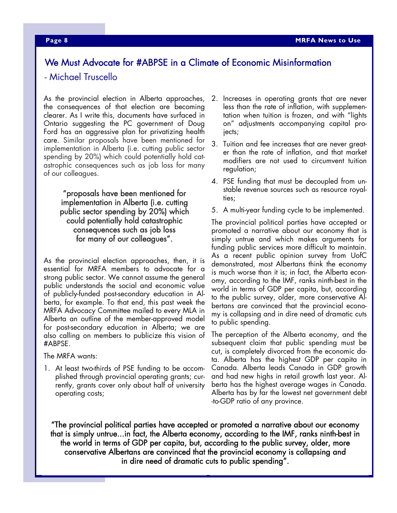# We Must Advocate for #ABPSE in a Climate of Economic Misinformation

#### - Michael Truscello

As the provincial election in Alberta approaches, the consequences of that election are becoming clearer. As I write this, documents have surfaced in Ontario suggesting the PC government of Doug Ford has an aggressive plan for privatizing health care. Similar proposals have been mentioned for implementation in Alberta (i.e. cutting public sector spending by 20%) which could potentially hold catastrophic consequences such as job loss for many of our colleagues.

"proposals have been mentioned for implementation in Alberta (i.e. cutting public sector spending by 20%) which could potentially hold catastrophic consequences such as job loss for many of our colleagues".

As the provincial election approaches, then, it is essential for MRFA members to advocate for a strong public sector. We cannot assume the general public understands the social and economic value of publicly-funded post-secondary education in Alberta, for example. To that end, this past week the MRFA Advocacy Committee mailed to every MLA in Alberta an outline of the member-approved model for post-secondary education in Alberta; we are also calling on members to publicize this vision of #ABPSE.

The MRFA wants:

1. At least two-thirds of PSE funding to be accomplished through provincial operating grants; currently, grants cover only about half of university operating costs;

- 2. Increases in operating grants that are never less than the rate of inflation, with supplementation when tuition is frozen, and with "lights on" adjustments accompanying capital projects;
- 3. Tuition and fee increases that are never greater than the rate of inflation, and that market modifiers are not used to circumvent tuition regulation;
- 4. PSE funding that must be decoupled from unstable revenue sources such as resource royalties;
- 5. A multi-year funding cycle to be implemented.

The provincial political parties have accepted or promoted a narrative about our economy that is simply untrue and which makes arguments for funding public services more difficult to maintain. As a recent public opinion survey from UofC demonstrated, most Albertans think the economy is much worse than it is; in fact, the Alberta economy, according to the IMF, ranks ninth-best in the world in terms of GDP per capita, but, according to the public survey, older, more conservative Albertans are convinced that the provincial economy is collapsing and in dire need of dramatic cuts to public spending.

The perception of the Alberta economy, and the subsequent claim that public spending must be cut, is completely divorced from the economic data. Alberta has the highest GDP per capita in Canada. Alberta leads Canada in GDP growth and had new highs in retail growth last year. Alberta has the highest average wages in Canada. Alberta has by far the lowest net government debt -to-GDP ratio of any province.

"The provincial political parties have accepted or promoted a narrative about our economy that is simply untrue...in fact, the Alberta economy, according to the IMF, ranks ninth-best in the world in terms of GDP per capita, but, according to the public survey, older, more conservative Albertans are convinced that the provincial economy is collapsing and in dire need of dramatic cuts to public spending".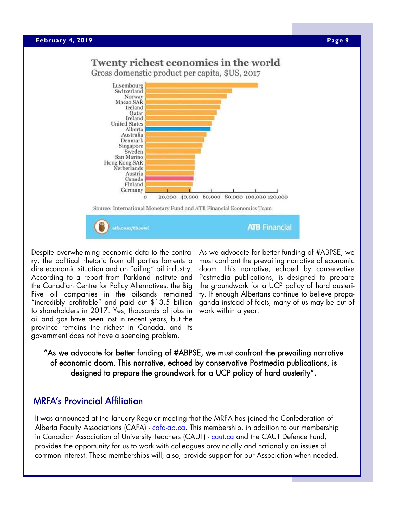#### **April 23, 2019 Page 9 <b>Page 9 Page 9 Page 9 Page 9 Page 9 Page 9 Page 9 Page 9**

# Twenty richest economies in the world

Gross domenstic product per capita, \$US, 2017



Despite overwhelming economic data to the contrary, the political rhetoric from all parties laments a dire economic situation and an "ailing" oil industry. According to a report from Parkland Institute and the Canadian Centre for Policy Alternatives, the Big Five oil companies in the oilsands remained "incredibly profitable" and paid out \$13.5 billion to shareholders in 2017. Yes, thousands of jobs in oil and gas have been lost in recent years, but the province remains the richest in Canada, and its government does not have a spending problem.

As we advocate for better funding of #ABPSE, we must confront the prevailing narrative of economic doom. This narrative, echoed by conservative Postmedia publications, is designed to prepare the groundwork for a UCP policy of hard austerity. If enough Albertans continue to believe propaganda instead of facts, many of us may be out of work within a year.

"As we advocate for better funding of #ABPSE, we must confront the prevailing narrative of economic doom. This narrative, echoed by conservative Postmedia publications, is designed to prepare the groundwork for a UCP policy of hard austerity".

# MRFA's Provincial Affiliation

It was announced at the January Regular meeting that the MRFA has joined the Confederation of Alberta Faculty Associations (CAFA) - cafa-ab.ca. This membership, in addition to our membership in Canadian Association of University Teachers (CAUT) - caut.ca and the CAUT Defence Fund, provides the opportunity for us to work with colleagues provincially and nationally on issues of common interest. These memberships will, also, provide support for our Association when needed.